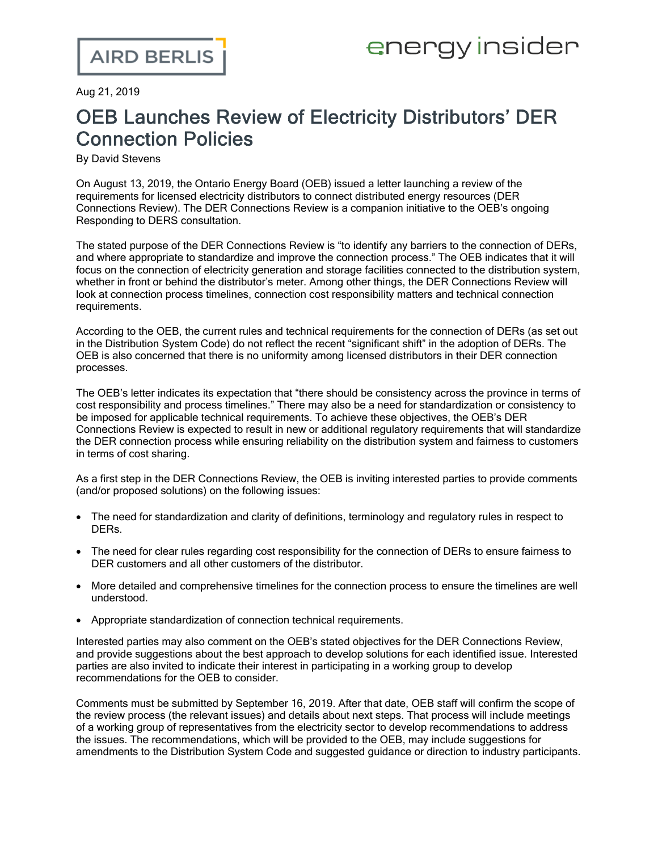Aug 21, 2019

## OEB Launches Review of Electricity Distributors' DER Connection Policies

By David Stevens

On August 13, 2019, the Ontario Energy Board (OEB) issued a letter [launching](https://www.oeb.ca/sites/default/files/Ltr-Kick-off-DER-Connections-Review-20190813.pdf) a review of the [requirements](https://www.oeb.ca/sites/default/files/Ltr-Kick-off-DER-Connections-Review-20190813.pdf) for licensed electricity distributors to connect distributed energy resources (DER Connections Review). The DER Connections Review is a companion initiative to the OEB's ongoing Responding to DERS [consultation.](https://www.airdberlis.com/insights/blogs/energyinsider/post/ei-item/oeb-taking-a-refreshed-approach-to-its-der-and-utility-remuneration-consultation)

The stated purpose of the DER Connections Review is "to identify any barriers to the connection of DERs, and where appropriate to standardize and improve the connection process." The OEB indicates that it will focus on the connection of electricity generation and storage facilities connected to the distribution system, whether in front or behind the distributor's meter. Among other things, the DER Connections Review will look at connection process timelines, connection cost responsibility matters and technical connection requirements.

According to the OEB, the current rules and technical requirements for the connection of DERs (as set out in the [Distribution](https://www.oeb.ca/oeb/_Documents/Regulatory/Distribution_System_Code.pdf) System Code) do not reflect the recent "significant shift" in the adoption of DERs. The OEB is also concerned that there is no uniformity among licensed distributors in their DER connection processes.

The OEB's letter indicates its expectation that "there should be consistency across the province in terms of cost responsibility and process timelines." There may also be a need for standardization or consistency to be imposed for applicable technical requirements. To achieve these objectives, the OEB's DER Connections Review is expected to result in new or additional regulatory requirements that will standardize the DER connection process while ensuring reliability on the distribution system and fairness to customers in terms of cost sharing.

As a first step in the DER Connections Review, the OEB is inviting interested parties to provide comments (and/or proposed solutions) on the following issues:

- · The need for standardization and clarity of definitions, terminology and regulatory rules in respect to DERs.
- · The need for clear rules regarding cost responsibility for the connection of DERs to ensure fairness to DER customers and all other customers of the distributor.
- · More detailed and comprehensive timelines for the connection process to ensure the timelines are well understood.
- · Appropriate standardization of connection technical requirements.

Interested parties may also comment on the OEB's stated objectives for the DER Connections Review, and provide suggestions about the best approach to develop solutions for each identified issue. Interested parties are also invited to indicate their interest in participating in a working group to develop recommendations for the OEB to consider.

Comments must be submitted by September 16, 2019. After that date, OEB staff will confirm the scope of the review process (the relevant issues) and details about next steps. That process will include meetings of a working group of representatives from the electricity sector to develop recommendations to address the issues. The recommendations, which will be provided to the OEB, may include suggestions for amendments to the Distribution System Code and suggested guidance or direction to industry participants.